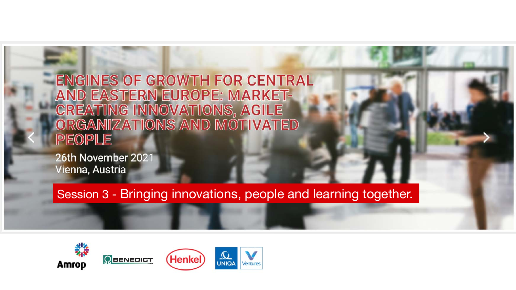**ENGINES OF GROWTH FOR CENTRAL** AND EASTERN EUROPE: MARKET-CREATING INNOVATIONS, AGILE<br>ORGANIZATIONS AND MOTIVATED **PEOPLE** 

26th November 2021 Vienna, Austria

Session 3 - Bringing innovations, people and learning together.







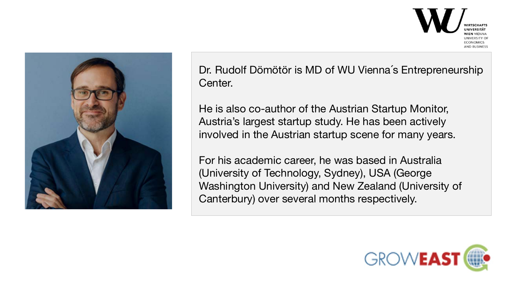

Dr. Rudolf Dömötör is MD of WU Vienna´s Entrepreneurship Center.

He is also co-author of the Austrian Startup Monitor, Austria's largest startup study. He has been actively involved in the Austrian startup scene for many years.

For his academic career, he was based in Australia (University of Technology, Sydney), USA (George Washington University) and New Zealand (University of Canterbury) over several months respectively.

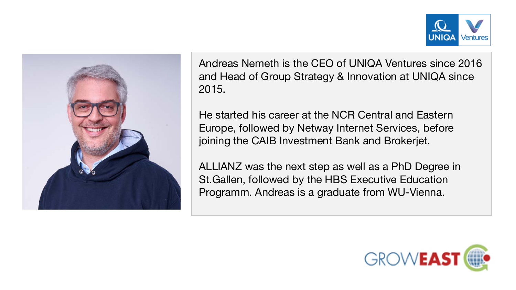



Andreas Nemeth is the CEO of UNIQA Ventures since 2016 and Head of Group Strategy & Innovation at UNIQA since 2015.

He started his career at the NCR Central and Eastern Europe, followed by Netway Internet Services, before joining the CAIB Investment Bank and Brokerjet.

ALLIANZ was the next step as well as a PhD Degree in St.Gallen, followed by the HBS Executive Education Programm. Andreas is a graduate from WU-Vienna.

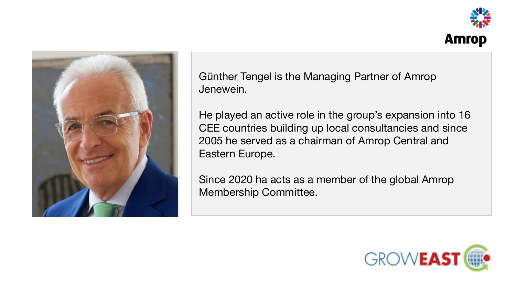



Günther Tengel is the Managing Partner of Amrop Jenewein.

He played an active role in the group's expansion into 16 CEE countries building up local consultancies and since 2005 he served as a chairman of Amrop Central and Eastern Europe.

Since 2020 ha acts as a member of the global Amrop Membership Committee.

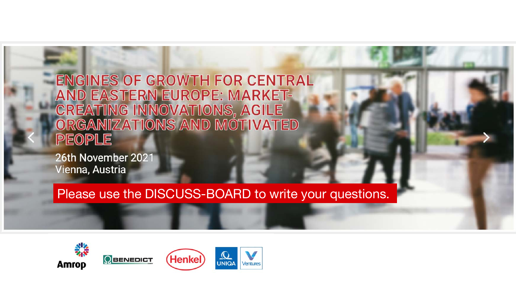**ENGINES OF GROWTH FOR CENTRAL** AND EASTERN EUROPE: MARKET-CREATING INNOVATIONS, AGILE<br>ORGANIZATIONS AND MOTIVATED **PEOPLE** 

26th November 2021 Vienna, Austria

Please use the DISCUSS-BOARD to write your questions.



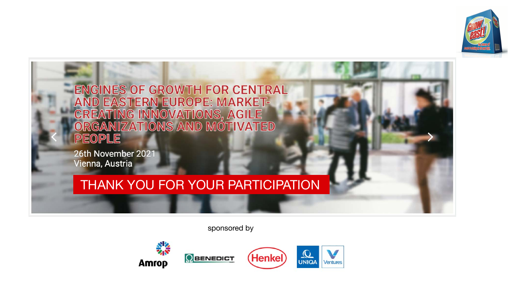

**ENGINES OF GROWTH FOR CENTRAL AND EASTERN EUROPE: MARKET-**CREATING INNOVATIONS, AGILE<br>ORGANIZATIONS AND MOTIVATED PEOPLE

26th November 2021 Vienna, Austria

## THANK YOU FOR YOUR PARTICIPATION

sponsored by